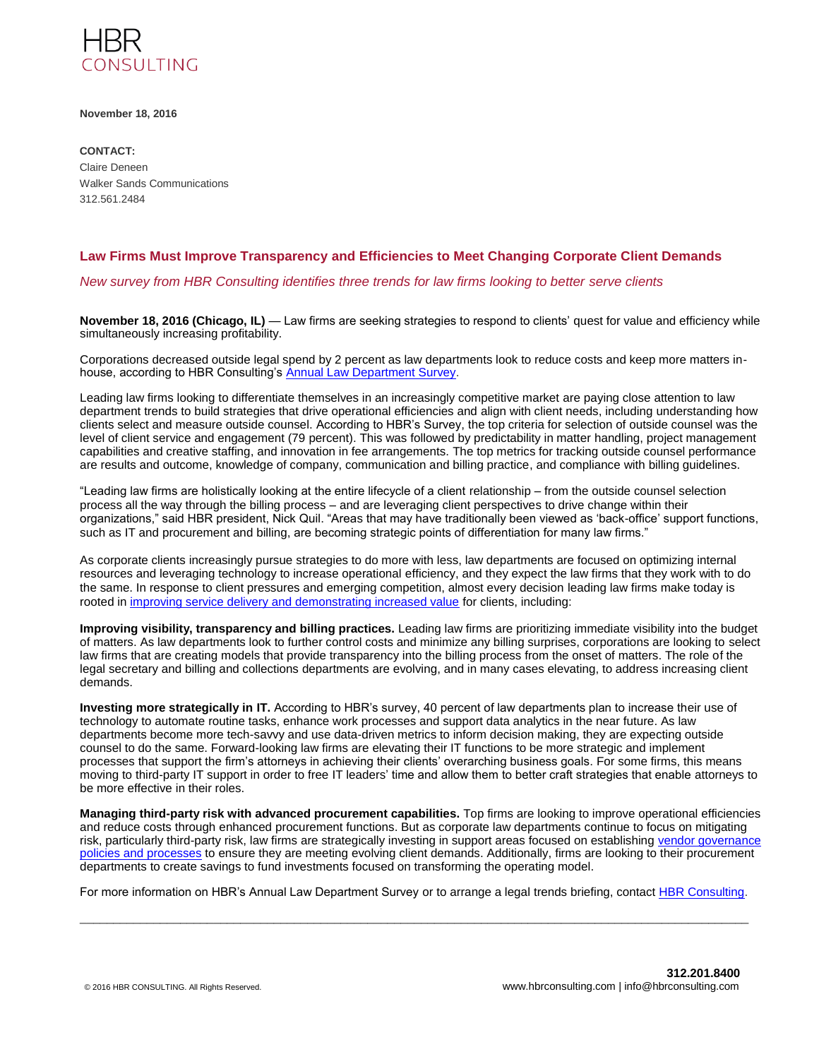

**November 18, 2016**

**CONTACT:**  Claire Deneen Walker Sands Communications 312.561.2484

## **Law Firms Must Improve Transparency and Efficiencies to Meet Changing Corporate Client Demands**

*New survey from HBR Consulting identifies three trends for law firms looking to better serve clients* 

**November 18, 2016 (Chicago, IL)** — Law firms are seeking strategies to respond to clients' quest for value and efficiency while simultaneously increasing profitability.

Corporations decreased outside legal spend by 2 percent as law departments look to reduce costs and keep more matters inhouse, according to HBR Consulting's [Annual Law Department Survey.](http://www.hbrconsulting.com/downloads/2016_LD_Survey.pdf)

Leading law firms looking to differentiate themselves in an increasingly competitive market are paying close attention to law department trends to build strategies that drive operational efficiencies and align with client needs, including understanding how clients select and measure outside counsel. According to HBR's Survey, the top criteria for selection of outside counsel was the level of client service and engagement (79 percent). This was followed by predictability in matter handling, project management capabilities and creative staffing, and innovation in fee arrangements. The top metrics for tracking outside counsel performance are results and outcome, knowledge of company, communication and billing practice, and compliance with billing guidelines.

"Leading law firms are holistically looking at the entire lifecycle of a client relationship – from the outside counsel selection process all the way through the billing process – and are leveraging client perspectives to drive change within their organizations," said HBR president, Nick Quil. "Areas that may have traditionally been viewed as 'back-office' support functions, such as IT and procurement and billing, are becoming strategic points of differentiation for many law firms."

As corporate clients increasingly pursue strategies to do more with less, law departments are focused on optimizing internal resources and leveraging technology to increase operational efficiency, and they expect the law firms that they work with to do the same. In response to client pressures and emerging competition, almost every decision leading law firms make today is rooted in [improving service delivery and demonstrating increased value](http://www.hbrconsulting.com/insights/market_trends.html) for clients, including:

**Improving visibility, transparency and billing practices.** Leading law firms are prioritizing immediate visibility into the budget of matters. As law departments look to further control costs and minimize any billing surprises, corporations are looking to select law firms that are creating models that provide transparency into the billing process from the onset of matters. The role of the legal secretary and billing and collections departments are evolving, and in many cases elevating, to address increasing client demands.

**Investing more strategically in IT.** According to HBR's survey, 40 percent of law departments plan to increase their use of technology to automate routine tasks, enhance work processes and support data analytics in the near future. As law departments become more tech-savvy and use data-driven metrics to inform decision making, they are expecting outside counsel to do the same. Forward-looking law firms are elevating their IT functions to be more strategic and implement processes that support the firm's attorneys in achieving their clients' overarching business goals. For some firms, this means moving to third-party IT support in order to free IT leaders' time and allow them to better craft strategies that enable attorneys to be more effective in their roles.

**Managing third-party risk with advanced procurement capabilities.** Top firms are looking to improve operational efficiencies and reduce costs through enhanced procurement functions. But as corporate law departments continue to focus on mitigating risk, particularly third-party risk, law firms are strategically investing in support areas focused on establishing [vendor governance](http://www.hbrconsulting.com/downloads/HBR_Vendor%20Governance%20and%20Partnership%20Release_Final.pdf)  [policies and processes](http://www.hbrconsulting.com/downloads/HBR_Vendor%20Governance%20and%20Partnership%20Release_Final.pdf) to ensure they are meeting evolving client demands. Additionally, firms are looking to their procurement departments to create savings to fund investments focused on transforming the operating model.

For more information on HBR's Annual Law Department Survey or to arrange a legal trends briefing, contac[t HBR Consulting.](http://www.hbrconsulting.com/) \_\_\_\_\_\_\_\_\_\_\_\_\_\_\_\_\_\_\_\_\_\_\_\_\_\_\_\_\_\_\_\_\_\_\_\_\_\_\_\_\_\_\_\_\_\_\_\_\_\_\_\_\_\_\_\_\_\_\_\_\_\_\_\_\_\_\_\_\_\_\_\_\_\_\_\_\_\_\_\_\_\_\_\_\_\_\_\_\_\_\_\_\_\_\_\_\_\_\_\_